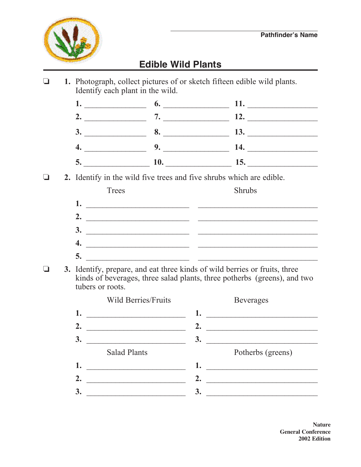

## **Edible Wild Plants**

o **1.** Photograph, collect pictures of or sketch fifteen edible wild plants. Identify each plant in the wild.

|                                   | <b>6.</b> 11. |  |
|-----------------------------------|---------------|--|
| $\frac{7.}{2}$ 7. $\frac{12.}{2}$ |               |  |
| 3. 8. 13.                         |               |  |
| $\sim$ 9. $\sim$ 14.              |               |  |
| 10.                               | 15.           |  |

o **2.** Identify in the wild five trees and five shrubs which are edible.

| Trees | Shrubs |
|-------|--------|
| ı.    |        |
| 2.    |        |
| 3.    |        |
| 4.    |        |
| C.    |        |

**3.** Identify, prepare, and eat three kinds of wild berries or fruits, three kinds of beverages, three salad plants, three potherbs (greens), and two tubers or roots.



**Nature General Conference 2002 Edition**